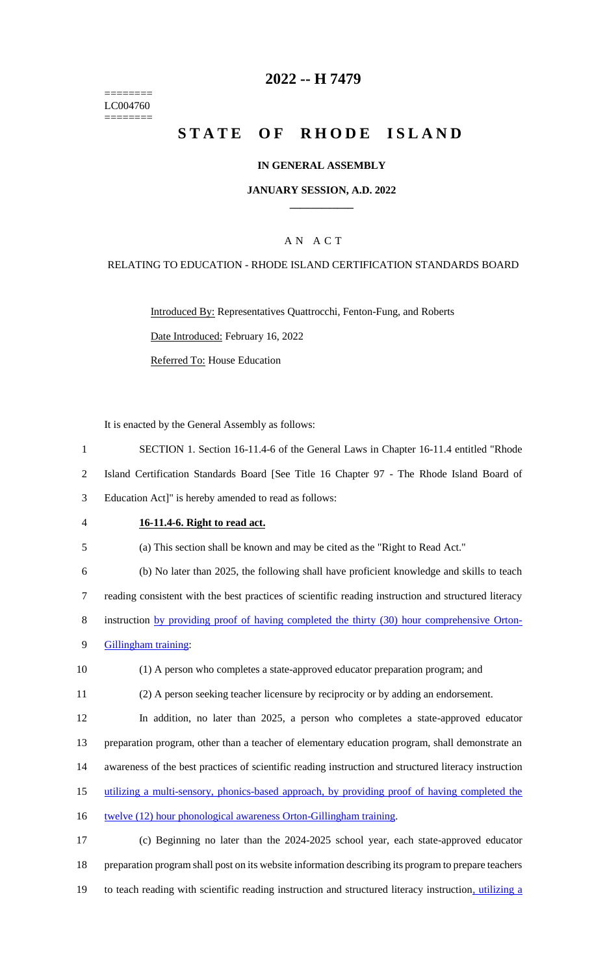======== LC004760 ========

## **2022 -- H 7479**

# **STATE OF RHODE ISLAND**

#### **IN GENERAL ASSEMBLY**

#### **JANUARY SESSION, A.D. 2022 \_\_\_\_\_\_\_\_\_\_\_\_**

## A N A C T

#### RELATING TO EDUCATION - RHODE ISLAND CERTIFICATION STANDARDS BOARD

Introduced By: Representatives Quattrocchi, Fenton-Fung, and Roberts Date Introduced: February 16, 2022 Referred To: House Education

It is enacted by the General Assembly as follows:

1 SECTION 1. Section 16-11.4-6 of the General Laws in Chapter 16-11.4 entitled "Rhode

2 Island Certification Standards Board [See Title 16 Chapter 97 - The Rhode Island Board of

3 Education Act]" is hereby amended to read as follows:

### 4 **16-11.4-6. Right to read act.**

5 (a) This section shall be known and may be cited as the "Right to Read Act."

6 (b) No later than 2025, the following shall have proficient knowledge and skills to teach

7 reading consistent with the best practices of scientific reading instruction and structured literacy

8 instruction by providing proof of having completed the thirty (30) hour comprehensive Orton-

9 Gillingham training:

10 (1) A person who completes a state-approved educator preparation program; and

11 (2) A person seeking teacher licensure by reciprocity or by adding an endorsement.

12 In addition, no later than 2025, a person who completes a state-approved educator

13 preparation program, other than a teacher of elementary education program, shall demonstrate an

- 14 awareness of the best practices of scientific reading instruction and structured literacy instruction
- 15 utilizing a multi-sensory, phonics-based approach, by providing proof of having completed the
- 16 twelve (12) hour phonological awareness Orton-Gillingham training.

17 (c) Beginning no later than the 2024-2025 school year, each state-approved educator 18 preparation program shall post on its website information describing its program to prepare teachers 19 to teach reading with scientific reading instruction and structured literacy instruction, utilizing a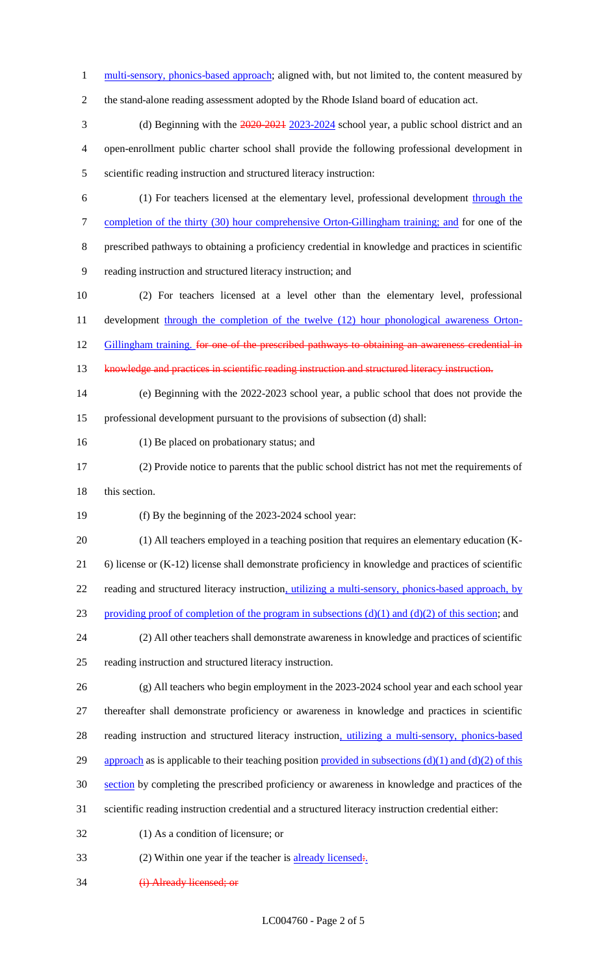1 multi-sensory, phonics-based approach; aligned with, but not limited to, the content measured by

the stand-alone reading assessment adopted by the Rhode Island board of education act.

- 3 (d) Beginning with the  $\frac{2020-2021}{2023-2024}$  school year, a public school district and an open-enrollment public charter school shall provide the following professional development in scientific reading instruction and structured literacy instruction:
	- (1) For teachers licensed at the elementary level, professional development through the 7 completion of the thirty (30) hour comprehensive Orton-Gillingham training; and for one of the prescribed pathways to obtaining a proficiency credential in knowledge and practices in scientific
	- reading instruction and structured literacy instruction; and
- (2) For teachers licensed at a level other than the elementary level, professional 11 development through the completion of the twelve (12) hour phonological awareness Orton-12 Gillingham training, for one of the prescribed pathways to obtaining an awareness credential in
- 
- knowledge and practices in scientific reading instruction and structured literacy instruction.
- (e) Beginning with the 2022-2023 school year, a public school that does not provide the professional development pursuant to the provisions of subsection (d) shall:
- (1) Be placed on probationary status; and
- (2) Provide notice to parents that the public school district has not met the requirements of

18 this section.

- (f) By the beginning of the 2023-2024 school year:
- (1) All teachers employed in a teaching position that requires an elementary education (K- 6) license or (K-12) license shall demonstrate proficiency in knowledge and practices of scientific reading and structured literacy instruction, utilizing a multi-sensory, phonics-based approach, by 23 providing proof of completion of the program in subsections  $(d)(1)$  and  $(d)(2)$  of this section; and
- (2) All other teachers shall demonstrate awareness in knowledge and practices of scientific reading instruction and structured literacy instruction.
- (g) All teachers who begin employment in the 2023-2024 school year and each school year thereafter shall demonstrate proficiency or awareness in knowledge and practices in scientific 28 reading instruction and structured literacy instruction, utilizing a multi-sensory, phonics-based 29 approach as is applicable to their teaching position provided in subsections  $(d)(1)$  and  $(d)(2)$  of this section by completing the prescribed proficiency or awareness in knowledge and practices of the
- scientific reading instruction credential and a structured literacy instruction credential either:
- (1) As a condition of licensure; or
- 33 (2) Within one year if the teacher is  $\frac{\text{already licensed}}{\text{.}}$
- (i) Already licensed; or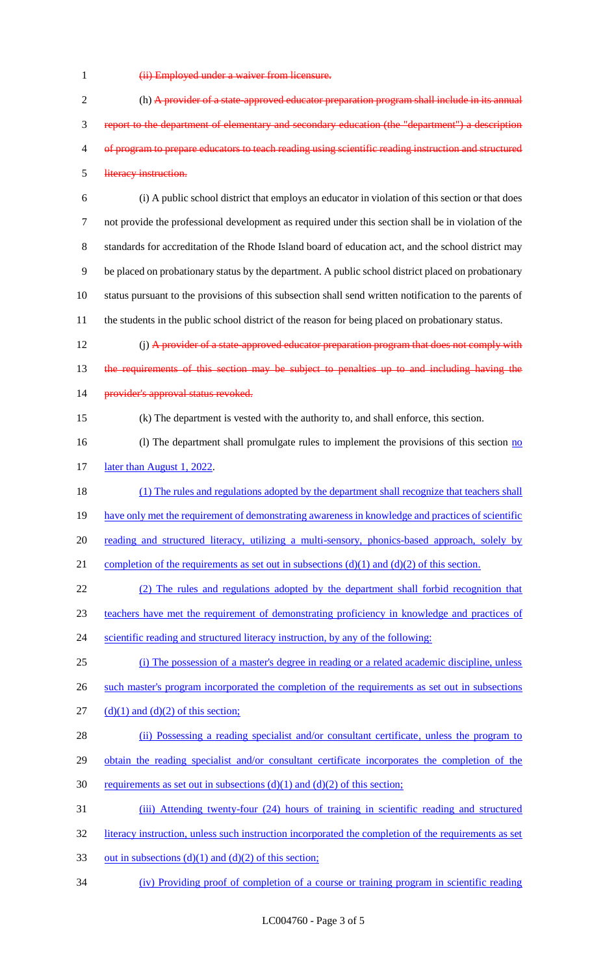- 
- 1 (ii) Employed under a waiver from licensure.

2 (h) A provider of a state-approved educator preparation program shall include in its annual 3 report to the department of elementary and secondary education (the "department") a description 4 of program to prepare educators to teach reading using scientific reading instruction and structured 5 literacy instruction. 6 (i) A public school district that employs an educator in violation of this section or that does 7 not provide the professional development as required under this section shall be in violation of the 8 standards for accreditation of the Rhode Island board of education act, and the school district may 9 be placed on probationary status by the department. A public school district placed on probationary 10 status pursuant to the provisions of this subsection shall send written notification to the parents of 11 the students in the public school district of the reason for being placed on probationary status. 12 (i) A provider of a state-approved educator preparation program that does not comply with 13 the requirements of this section may be subject to penalties up to and including having the 14 provider's approval status revoked. 15 (k) The department is vested with the authority to, and shall enforce, this section. 16 (l) The department shall promulgate rules to implement the provisions of this section no 17 later than August 1, 2022. 18 (1) The rules and regulations adopted by the department shall recognize that teachers shall 19 have only met the requirement of demonstrating awareness in knowledge and practices of scientific 20 reading and structured literacy, utilizing a multi-sensory, phonics-based approach, solely by 21 completion of the requirements as set out in subsections  $(d)(1)$  and  $(d)(2)$  of this section. 22 (2) The rules and regulations adopted by the department shall forbid recognition that 23 teachers have met the requirement of demonstrating proficiency in knowledge and practices of 24 scientific reading and structured literacy instruction, by any of the following: 25 (i) The possession of a master's degree in reading or a related academic discipline, unless 26 such master's program incorporated the completion of the requirements as set out in subsections 27 (d)(1) and (d)(2) of this section; 28 (ii) Possessing a reading specialist and/or consultant certificate, unless the program to 29 obtain the reading specialist and/or consultant certificate incorporates the completion of the 30 requirements as set out in subsections  $(d)(1)$  and  $(d)(2)$  of this section; 31 (iii) Attending twenty-four (24) hours of training in scientific reading and structured 32 literacy instruction, unless such instruction incorporated the completion of the requirements as set 33 out in subsections (d)(1) and (d)(2) of this section; 34 (iv) Providing proof of completion of a course or training program in scientific reading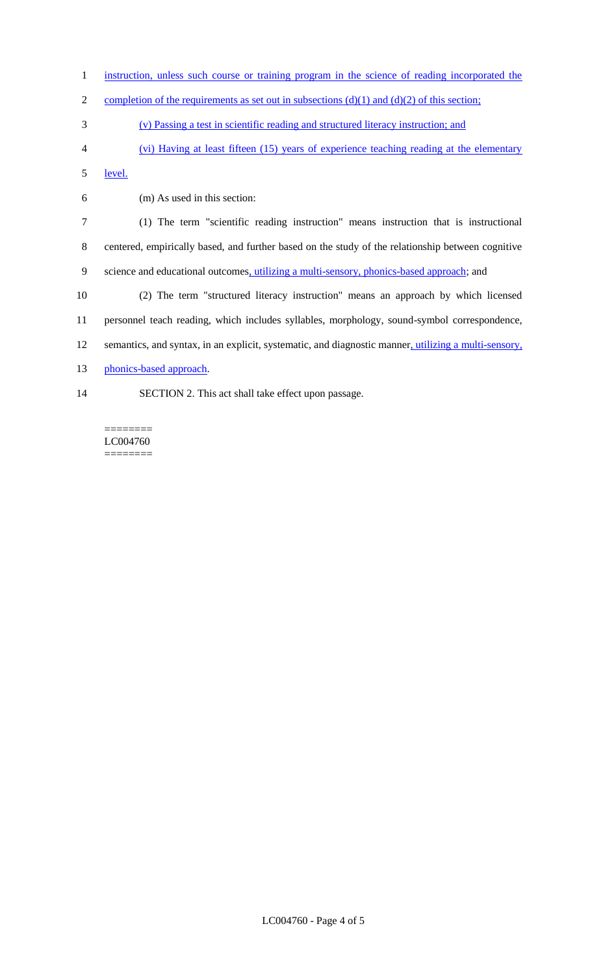- instruction, unless such course or training program in the science of reading incorporated the
- 2 completion of the requirements as set out in subsections  $(d)(1)$  and  $(d)(2)$  of this section;
- (v) Passing a test in scientific reading and structured literacy instruction; and
- (vi) Having at least fifteen (15) years of experience teaching reading at the elementary

level.

(m) As used in this section:

 (1) The term "scientific reading instruction" means instruction that is instructional centered, empirically based, and further based on the study of the relationship between cognitive 9 science and educational outcomes, utilizing a multi-sensory, phonics-based approach; and

 (2) The term "structured literacy instruction" means an approach by which licensed personnel teach reading, which includes syllables, morphology, sound-symbol correspondence, semantics, and syntax, in an explicit, systematic, and diagnostic manner, utilizing a multi-sensory, 13 phonics-based approach.

- 
- SECTION 2. This act shall take effect upon passage.

======== LC004760 ========